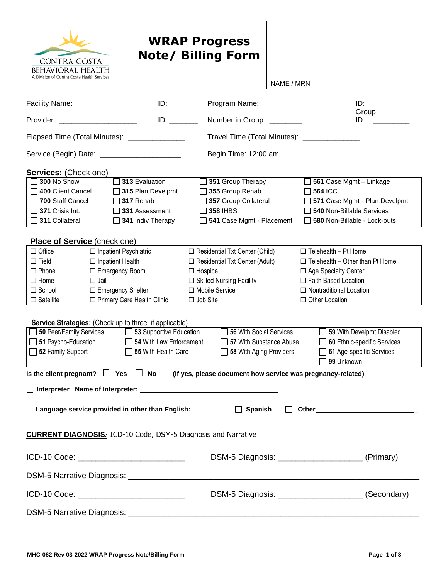

## **WRAP Progress Note/ Billing Form**

|                                                                                                             |                         |                                       | NAME / MRN                                          |                               |  |
|-------------------------------------------------------------------------------------------------------------|-------------------------|---------------------------------------|-----------------------------------------------------|-------------------------------|--|
| Facility Name: _________________                                                                            |                         |                                       |                                                     | ID:<br>Group                  |  |
| Provider: ______________________                                                                            |                         | Number in Group: _______              |                                                     | $ID:$ $\Box$                  |  |
| Elapsed Time (Total Minutes): ________________                                                              |                         |                                       | Travel Time (Total Minutes): _______________        |                               |  |
| Service (Begin) Date: _________________________                                                             |                         | Begin Time: 12:00 am                  |                                                     |                               |  |
| <b>Services: (Check one)</b>                                                                                |                         |                                       |                                                     |                               |  |
| $\Box$ 300 No Show                                                                                          | 313 Evaluation          | 351 Group Therapy                     | $\Box$ 561 Case Mgmt - Linkage                      |                               |  |
| 400 Client Cancel                                                                                           | 315 Plan Develpmt       | $\Box$ 355 Group Rehab                | $\Box$ 564 ICC                                      |                               |  |
| $\Box$ 700 Staff Cancel                                                                                     | $\Box$ 317 Rehab        | 357 Group Collateral                  |                                                     | 571 Case Mgmt - Plan Develpmt |  |
| $\Box$ 371 Crisis Int.                                                                                      | $\Box$ 331 Assessment   | $\Box$ 358 IHBS                       | □ 540 Non-Billable Services                         |                               |  |
| 311 Collateral                                                                                              | 341 Indiv Therapy       | 541 Case Mgmt - Placement             | $\Box$ 580 Non-Billable - Lock-outs                 |                               |  |
| Place of Service (check one)                                                                                |                         |                                       |                                                     |                               |  |
| $\Box$ Office<br>$\Box$ Inpatient Psychiatric                                                               |                         | $\Box$ Residential Txt Center (Child) | $\Box$ Telehealth - Pt Home                         |                               |  |
| $\Box$ Field<br>$\Box$ Inpatient Health                                                                     |                         | $\Box$ Residential Txt Center (Adult) | $\Box$ Telehealth - Other than Pt Home              |                               |  |
| $\Box$ Phone<br>□ Emergency Room                                                                            |                         | $\Box$ Hospice                        | □ Age Specialty Center                              |                               |  |
| $\Box$ Home<br>$\Box$ Jail                                                                                  |                         | $\Box$ Skilled Nursing Facility       | □ Faith Based Location                              |                               |  |
| □ Emergency Shelter<br>$\Box$ School                                                                        |                         | □ Mobile Service                      | $\Box$ Nontraditional Location                      |                               |  |
| □ Primary Care Health Clinic<br>$\Box$ Satellite                                                            |                         | $\Box$ Job Site                       | □ Other Location                                    |                               |  |
|                                                                                                             |                         |                                       |                                                     |                               |  |
| Service Strategies: (Check up to three, if applicable)                                                      |                         |                                       |                                                     |                               |  |
| 50 Peer/Family Services 33 Supportive Education                                                             |                         | 56 With Social Services               |                                                     | 59 With Develpmt Disabled     |  |
| 51 Psycho-Education                                                                                         | 54 With Law Enforcement | 57 With Substance Abuse               |                                                     | 60 Ethnic-specific Services   |  |
| 52 Family Support                                                                                           | 55 With Health Care     | 58 With Aging Providers               | 99 Unknown                                          | 61 Age-specific Services      |  |
|                                                                                                             |                         |                                       |                                                     |                               |  |
| Is the client pregnant? $\Box$ Yes $\Box$ No<br>(If yes, please document how service was pregnancy-related) |                         |                                       |                                                     |                               |  |
| □ Interpreter Name of Interpreter:                                                                          |                         |                                       |                                                     |                               |  |
| Language service provided in other than English:                                                            |                         |                                       | Spanish Other Communication                         |                               |  |
| <b>CURRENT DIAGNOSIS:</b> ICD-10 Code, DSM-5 Diagnosis and Narrative                                        |                         |                                       |                                                     |                               |  |
|                                                                                                             |                         |                                       |                                                     |                               |  |
| ICD-10 Code: ____________________________                                                                   |                         |                                       | DSM-5 Diagnosis: ________________________(Primary)  |                               |  |
|                                                                                                             |                         |                                       |                                                     |                               |  |
| ICD-10 Code: ______________________________                                                                 |                         |                                       | DSM-5 Diagnosis: _______________________(Secondary) |                               |  |
|                                                                                                             |                         |                                       |                                                     |                               |  |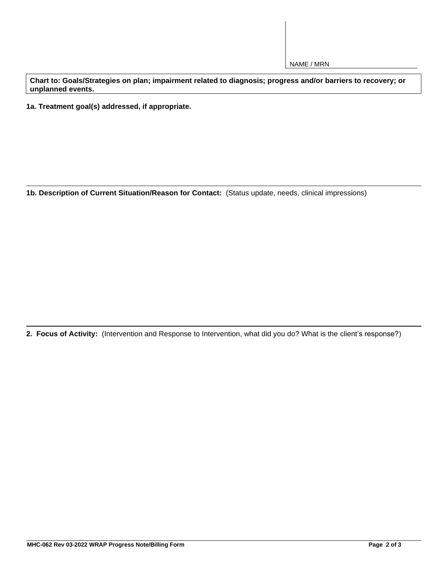NAME / MRN

**Chart to: Goals/Strategies on plan; impairment related to diagnosis; progress and/or barriers to recovery; or unplanned events.**

**1a. Treatment goal(s) addressed, if appropriate.**

**1b. Description of Current Situation/Reason for Contact:** (Status update, needs, clinical impressions)

**2. Focus of Activity:** (Intervention and Response to Intervention, what did you do? What is the client's response?)